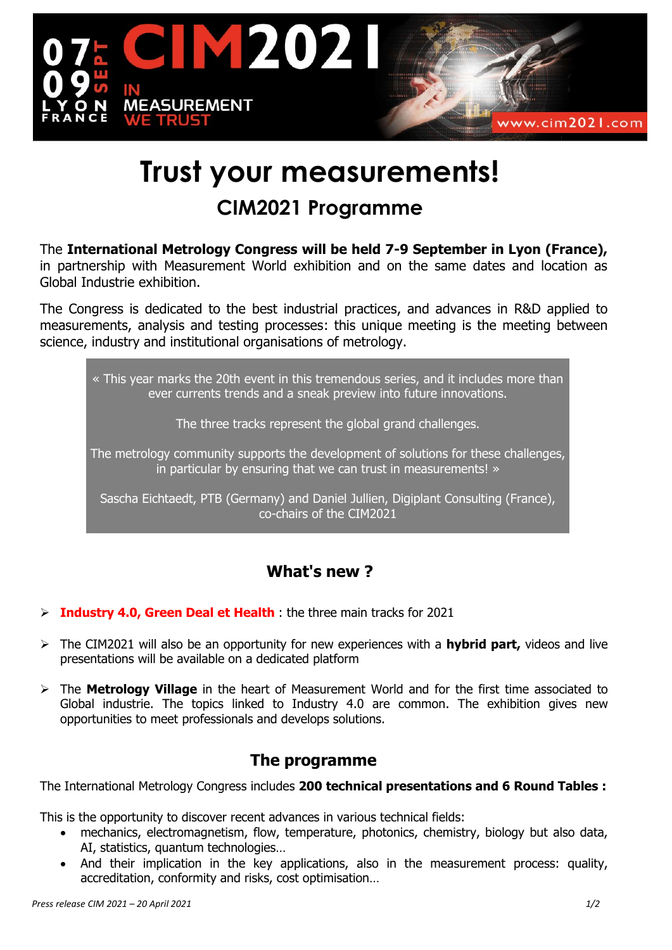

# **Trust your measurements! CIM2021 Programme**

The **International Metrology Congress will be held 7-9 September in Lyon (France),** in partnership with Measurement World exhibition and on the same dates and location as Global Industrie exhibition.

The Congress is dedicated to the best industrial practices, and advances in R&D applied to measurements, analysis and testing processes: this unique meeting is the meeting between science, industry and institutional organisations of metrology.

« This year marks the 20th event in this tremendous series, and it includes more than ever currents trends and a sneak preview into future innovations.

The three tracks represent the global grand challenges.

The metrology community supports the development of solutions for these challenges, in particular by ensuring that we can trust in measurements! »

Sascha Eichtaedt, PTB (Germany) and Daniel Jullien, Digiplant Consulting (France), co-chairs of the CIM2021

## **What's new ?**

- **Industry 4.0, Green Deal et Health** : the three main tracks for 2021
- The CIM2021 will also be an opportunity for new experiences with a **hybrid part,** videos and live presentations will be available on a dedicated platform
- The **Metrology Village** in the heart of Measurement World and for the first time associated to Global industrie. The topics linked to Industry 4.0 are common. The exhibition gives new opportunities to meet professionals and develops solutions.

## **The programme**

The International Metrology Congress includes **200 technical presentations and 6 Round Tables :**

This is the opportunity to discover recent advances in various technical fields:

- mechanics, electromagnetism, flow, temperature, photonics, chemistry, biology but also data, AI, statistics, quantum technologies…
- And their implication in the key applications, also in the measurement process: quality, accreditation, conformity and risks, cost optimisation…